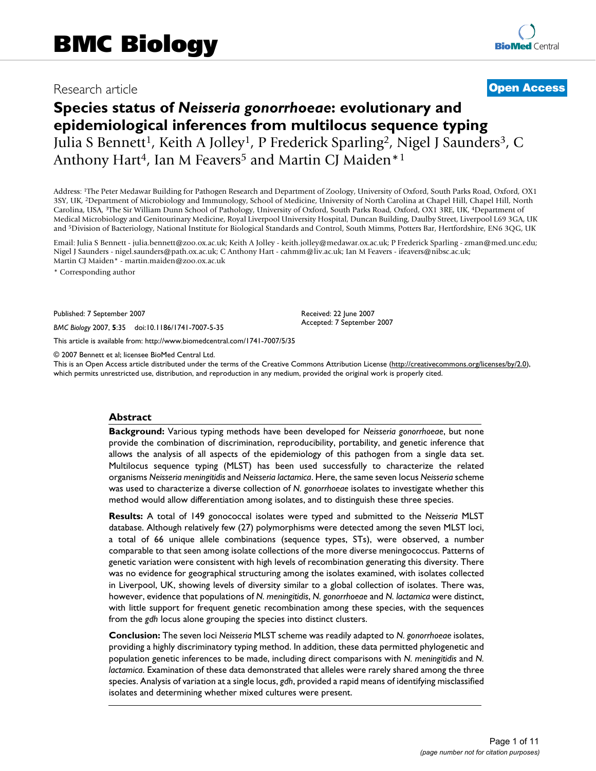# Research article **[Open Access](http://www.biomedcentral.com/info/about/charter/)**

# **Species status of** *Neisseria gonorrhoeae***: evolutionary and epidemiological inferences from multilocus sequence typing** Julia S Bennett<sup>1</sup>, Keith A Jolley<sup>1</sup>, P Frederick Sparling<sup>2</sup>, Nigel J Saunders<sup>3</sup>, C Anthony Hart<sup>4</sup>, Ian M Feavers<sup>5</sup> and Martin CJ Maiden<sup>\*1</sup>

Address: 1The Peter Medawar Building for Pathogen Research and Department of Zoology, University of Oxford, South Parks Road, Oxford, OX1 3SY, UK, 2Department of Microbiology and Immunology, School of Medicine, University of North Carolina at Chapel Hill, Chapel Hill, North Carolina, USA, 3The Sir William Dunn School of Pathology, University of Oxford, South Parks Road, Oxford, OX1 3RE, UK, 4Department of Medical Microbiology and Genitourinary Medicine, Royal Liverpool University Hospital, Duncan Building, Daulby Street, Liverpool L69 3GA, UK and 5Division of Bacteriology, National Institute for Biological Standards and Control, South Mimms, Potters Bar, Hertfordshire, EN6 3QG, UK

Email: Julia S Bennett - julia.bennett@zoo.ox.ac.uk; Keith A Jolley - keith.jolley@medawar.ox.ac.uk; P Frederick Sparling - zman@med.unc.edu; Nigel J Saunders - nigel.saunders@path.ox.ac.uk; C Anthony Hart - cahmm@liv.ac.uk; Ian M Feavers - ifeavers@nibsc.ac.uk; Martin CJ Maiden\* - martin.maiden@zoo.ox.ac.uk

> Received: 22 June 2007 Accepted: 7 September 2007

\* Corresponding author

Published: 7 September 2007

*BMC Biology* 2007, **5**:35 doi:10.1186/1741-7007-5-35

[This article is available from: http://www.biomedcentral.com/1741-7007/5/35](http://www.biomedcentral.com/1741-7007/5/35)

© 2007 Bennett et al; licensee BioMed Central Ltd.

This is an Open Access article distributed under the terms of the Creative Commons Attribution License [\(http://creativecommons.org/licenses/by/2.0\)](http://creativecommons.org/licenses/by/2.0), which permits unrestricted use, distribution, and reproduction in any medium, provided the original work is properly cited.

#### **Abstract**

**Background:** Various typing methods have been developed for *Neisseria gonorrhoeae*, but none provide the combination of discrimination, reproducibility, portability, and genetic inference that allows the analysis of all aspects of the epidemiology of this pathogen from a single data set. Multilocus sequence typing (MLST) has been used successfully to characterize the related organisms *Neisseria meningitidis* and *Neisseria lactamica*. Here, the same seven locus *Neisseria* scheme was used to characterize a diverse collection of *N. gonorrhoeae* isolates to investigate whether this method would allow differentiation among isolates, and to distinguish these three species.

**Results:** A total of 149 gonococcal isolates were typed and submitted to the *Neisseria* MLST database. Although relatively few (27) polymorphisms were detected among the seven MLST loci, a total of 66 unique allele combinations (sequence types, STs), were observed, a number comparable to that seen among isolate collections of the more diverse meningococcus. Patterns of genetic variation were consistent with high levels of recombination generating this diversity. There was no evidence for geographical structuring among the isolates examined, with isolates collected in Liverpool, UK, showing levels of diversity similar to a global collection of isolates. There was, however, evidence that populations of *N. meningitidis*, *N. gonorrhoeae* and *N. lactamica* were distinct, with little support for frequent genetic recombination among these species, with the sequences from the *gdh* locus alone grouping the species into distinct clusters.

**Conclusion:** The seven loci *Neisseria* MLST scheme was readily adapted to *N. gonorrhoeae* isolates, providing a highly discriminatory typing method. In addition, these data permitted phylogenetic and population genetic inferences to be made, including direct comparisons with *N. meningitidis* and *N. lactamica*. Examination of these data demonstrated that alleles were rarely shared among the three species. Analysis of variation at a single locus, *gdh*, provided a rapid means of identifying misclassified isolates and determining whether mixed cultures were present.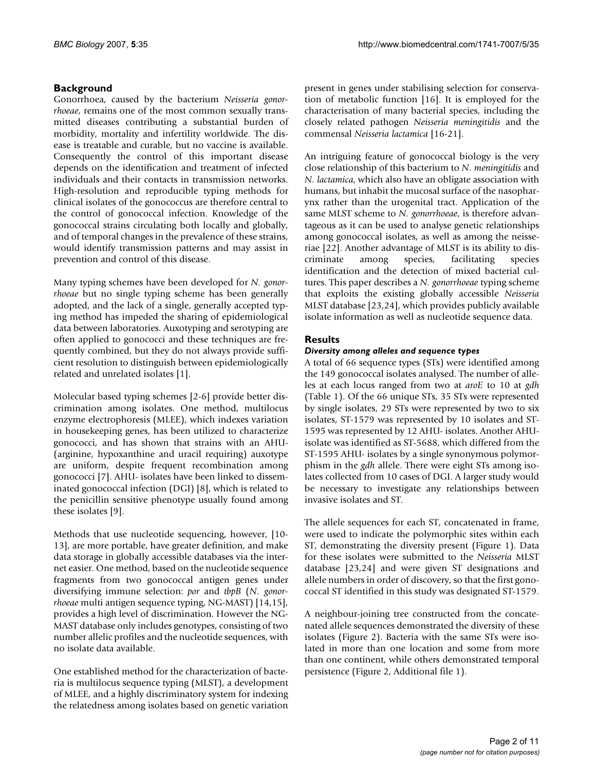# **Background**

Gonorrhoea, caused by the bacterium *Neisseria gonorrhoeae*, remains one of the most common sexually transmitted diseases contributing a substantial burden of morbidity, mortality and infertility worldwide. The disease is treatable and curable, but no vaccine is available. Consequently the control of this important disease depends on the identification and treatment of infected individuals and their contacts in transmission networks. High-resolution and reproducible typing methods for clinical isolates of the gonococcus are therefore central to the control of gonococcal infection. Knowledge of the gonococcal strains circulating both locally and globally, and of temporal changes in the prevalence of these strains, would identify transmission patterns and may assist in prevention and control of this disease.

Many typing schemes have been developed for *N. gonorrhoeae* but no single typing scheme has been generally adopted, and the lack of a single, generally accepted typing method has impeded the sharing of epidemiological data between laboratories. Auxotyping and serotyping are often applied to gonococci and these techniques are frequently combined, but they do not always provide sufficient resolution to distinguish between epidemiologically related and unrelated isolates [1].

Molecular based typing schemes [\[2-](#page-9-0)[6](#page-9-1)] provide better discrimination among isolates. One method, multilocus enzyme electrophoresis (MLEE), which indexes variation in housekeeping genes, has been utilized to characterize gonococci, and has shown that strains with an AHU- (arginine, hypoxanthine and uracil requiring) auxotype are uniform, despite frequent recombination among gonococci [[7](#page-9-2)]. AHU- isolates have been linked to disseminated gonococcal infection (DGI) [\[8\]](#page-9-3), which is related to the penicillin sensitive phenotype usually found among these isolates [9].

Methods that use nucleotide sequencing, however, [\[10](#page-10-0)- 13], are more portable, have greater definition, and make data storage in globally accessible databases via the internet easier. One method, based on the nucleotide sequence fragments from two gonococcal antigen genes under diversifying immune selection: *por* and *tbpB* (*N. gonorrhoeae* multi antigen sequence typing, NG-MAST) [14,15], provides a high level of discrimination. However the NG-MAST database only includes genotypes, consisting of two number allelic profiles and the nucleotide sequences, with no isolate data available.

One established method for the characterization of bacteria is multilocus sequence typing (MLST), a development of MLEE, and a highly discriminatory system for indexing the relatedness among isolates based on genetic variation present in genes under stabilising selection for conservation of metabolic function [16]. It is employed for the characterisation of many bacterial species, including the closely related pathogen *Neisseria meningitidis* and the commensal *Neisseria lactamica* [16-21].

An intriguing feature of gonococcal biology is the very close relationship of this bacterium to *N. meningitidis* and *N. lactamica*, which also have an obligate association with humans, but inhabit the mucosal surface of the nasopharynx rather than the urogenital tract. Application of the same MLST scheme to *N. gonorrhoeae*, is therefore advantageous as it can be used to analyse genetic relationships among gonococcal isolates, as well as among the neisseriae [22]. Another advantage of MLST is its ability to discriminate among species, facilitating species identification and the detection of mixed bacterial cultures. This paper describes a *N. gonorrhoeae* typing scheme that exploits the existing globally accessible *Neisseria* MLST database [23,24], which provides publicly available isolate information as well as nucleotide sequence data.

# **Results**

# *Diversity among alleles and sequence types*

A total of 66 sequence types (STs) were identified among the 149 gonococcal isolates analysed. The number of alleles at each locus ranged from two at *aroE* to 10 at *gdh* (Table 1). Of the 66 unique STs, 35 STs were represented by single isolates, 29 STs were represented by two to six isolates, ST-1579 was represented by 10 isolates and ST-1595 was represented by 12 AHU- isolates. Another AHUisolate was identified as ST-5688, which differed from the ST-1595 AHU- isolates by a single synonymous polymorphism in the *gdh* allele. There were eight STs among isolates collected from 10 cases of DGI. A larger study would be necessary to investigate any relationships between invasive isolates and ST.

The allele sequences for each ST, concatenated in frame, were used to indicate the polymorphic sites within each ST, demonstrating the diversity present (Figure 1). Data for these isolates were submitted to the *Neisseria* MLST database [23,24] and were given ST designations and allele numbers in order of discovery, so that the first gonococcal ST identified in this study was designated ST-1579.

A neighbour-joining tree constructed from the concatenated allele sequences demonstrated the diversity of these isolates (Figure 2). Bacteria with the same STs were isolated in more than one location and some from more than one continent, while others demonstrated temporal persistence (Figure 2, Additional file 1).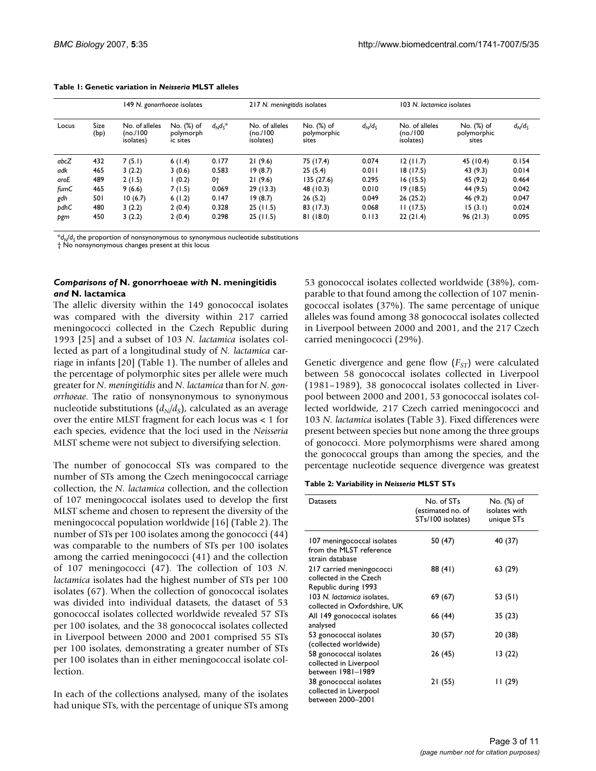|       |              | 149 N. gonorrhoege isolates             |                                     |             | 217 N. meningitidis isolates               |                                    |           | 103 N. lactamica isolates               |                                    |           |
|-------|--------------|-----------------------------------------|-------------------------------------|-------------|--------------------------------------------|------------------------------------|-----------|-----------------------------------------|------------------------------------|-----------|
| Locus | Size<br>(bp) | No. of alleles<br>(no.100)<br>isolates) | No. (%) of<br>polymorph<br>ic sites | $d_N d_S^*$ | No. of alleles<br>(no. / 100)<br>isolates) | No. (%) of<br>polymorphic<br>sites | $d_N/d_S$ | No. of alleles<br>(no.100)<br>isolates) | No. (%) of<br>polymorphic<br>sites | $d_N/d_S$ |
| abcZ  | 432          | 7(5.1)                                  | 6(1.4)                              | 0.177       | 21(9.6)                                    | 75 (17.4)                          | 0.074     | 12(11.7)                                | 45 (10.4)                          | 0.154     |
| adk   | 465          | 3(2.2)                                  | 3(0.6)                              | 0.583       | 19(8.7)                                    | 25(5.4)                            | 0.011     | 18(17.5)                                | 43 (9.3)                           | 0.014     |
| aroE  | 489          | 2(1.5)                                  | (0.2)                               | $0+$        | 21(9.6)                                    | 135 (27.6)                         | 0.295     | 16(15.5)                                | 45(9.2)                            | 0.464     |
| fumC  | 465          | 9(6.6)                                  | 7(1.5)                              | 0.069       | 29(13.3)                                   | 48 (10.3)                          | 0.010     | 19(18.5)                                | 44 (9.5)                           | 0.042     |
| gdh   | 501          | 10(6.7)                                 | 6(1.2)                              | 0.147       | 19(8.7)                                    | 26(5.2)                            | 0.049     | 26(25.2)                                | 46 (9.2)                           | 0.047     |
| pdhC  | 480          | 3(2.2)                                  | 2(0.4)                              | 0.328       | 25(11.5)                                   | 83 (17.3)                          | 0.068     | 11(17.5)                                | 15(3.1)                            | 0.024     |
| pgm   | 450          | 3(2.2)                                  | 2(0.4)                              | 0.298       | 25(11.5)                                   | 81(18.0)                           | 0.113     | 22(21.4)                                | 96(21.3)                           | 0.095     |

**Table 1: Genetic variation in** *Neisseria* **MLST alleles**

\**dN*/*dS* the proportion of nonsynonymous to synonymous nucleotide substitutions

† No nonsynonymous changes present at this locus

#### *Comparisons of* **N. gonorrhoeae** *with* **N. meningitidis**  *and* **N. lactamica**

The allelic diversity within the 149 gonococcal isolates was compared with the diversity within 217 carried meningococci collected in the Czech Republic during 1993 [25] and a subset of 103 *N. lactamica* isolates collected as part of a longitudinal study of *N. lactamica* carriage in infants [20] (Table 1). The number of alleles and the percentage of polymorphic sites per allele were much greater for *N. meningitidis* and *N. lactamica* than for *N. gonorrhoeae*. The ratio of nonsynonymous to synonymous nucleotide substitutions  $(d_N/d_S)$ , calculated as an average over the entire MLST fragment for each locus was < 1 for each species, evidence that the loci used in the *Neisseria* MLST scheme were not subject to diversifying selection.

The number of gonococcal STs was compared to the number of STs among the Czech meningococcal carriage collection, the *N. lactamica* collection, and the collection of 107 meningococcal isolates used to develop the first MLST scheme and chosen to represent the diversity of the meningococcal population worldwide [16] (Table 2). The number of STs per 100 isolates among the gonococci (44) was comparable to the numbers of STs per 100 isolates among the carried meningococci (41) and the collection of 107 meningococci (47). The collection of 103 *N. lactamica* isolates had the highest number of STs per 100 isolates (67). When the collection of gonococcal isolates was divided into individual datasets, the dataset of 53 gonococcal isolates collected worldwide revealed 57 STs per 100 isolates, and the 38 gonococcal isolates collected in Liverpool between 2000 and 2001 comprised 55 STs per 100 isolates, demonstrating a greater number of STs per 100 isolates than in either meningococcal isolate collection.

In each of the collections analysed, many of the isolates had unique STs, with the percentage of unique STs among 53 gonococcal isolates collected worldwide (38%), comparable to that found among the collection of 107 meningococcal isolates (37%). The same percentage of unique alleles was found among 38 gonococcal isolates collected in Liverpool between 2000 and 2001, and the 217 Czech carried meningococci (29%).

Genetic divergence and gene flow  $(F_{ST})$  were calculated between 58 gonococcal isolates collected in Liverpool (1981–1989), 38 gonococcal isolates collected in Liverpool between 2000 and 2001, 53 gonococcal isolates collected worldwide, 217 Czech carried meningococci and 103 *N. lactamica* isolates (Table 3). Fixed differences were present between species but none among the three groups of gonococci. More polymorphisms were shared among the gonococcal groups than among the species, and the percentage nucleotide sequence divergence was greatest

#### **Table 2: Variability in** *Neisseria* **MLST STs**

| Datasets                                                                   | No. of STs<br>(estimated no. of<br>STs/100 isolates) | No. (%) of<br>isolates with<br>unique STs |
|----------------------------------------------------------------------------|------------------------------------------------------|-------------------------------------------|
| 107 meningococcal isolates<br>from the MLST reference<br>strain database   | 50 (47)                                              | 40 (37)                                   |
| 217 carried meningococci<br>collected in the Czech<br>Republic during 1993 | 88 (41)                                              | 63 (29)                                   |
| 103 N. lactamica isolates,<br>collected in Oxfordshire, UK                 | 69 (67)                                              | 53 (51)                                   |
| All 149 gonococcal isolates<br>analysed                                    | 66 (44)                                              | 35(23)                                    |
| 53 gonococcal isolates<br>(collected worldwide)                            | 30 (57)                                              | 20 (38)                                   |
| 58 gonococcal isolates<br>collected in Liverpool<br>between 1981-1989      | 26 (45)                                              | 13(22)                                    |
| 38 gonococcal isolates<br>collected in Liverpool<br>between 2000–2001      | 21(55)                                               | II (29)                                   |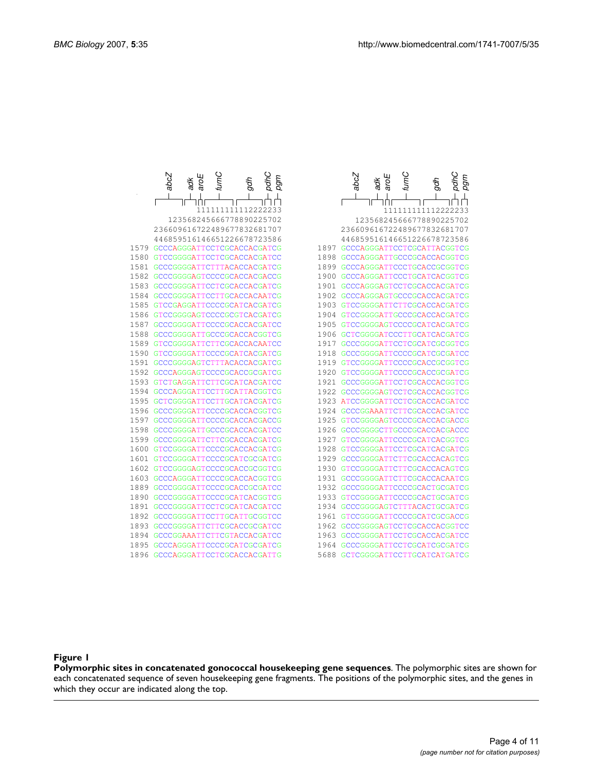|      |                             | aroE |                          |     |  |  |
|------|-----------------------------|------|--------------------------|-----|--|--|
|      |                             |      |                          |     |  |  |
|      |                             | Ш    | 111111111112222233       | 1 r |  |  |
|      |                             |      | 123568245666778890225702 |     |  |  |
|      | 236609616722489677832681707 |      |                          |     |  |  |
|      | 446859516146651226678723586 |      |                          |     |  |  |
| 1897 | GCCCAGGGATTCCTCGCATTACGGTCG |      |                          |     |  |  |
| 1898 | GCCCAGGGATTGCCCGCACCACGGTCG |      |                          |     |  |  |
| 1899 | GCCCAGGGATTCCCTGCACCGCGGTCG |      |                          |     |  |  |
| 1900 | GCCCAGGGATTCCCTGCATCACGGTCG |      |                          |     |  |  |
| 1901 | GCCCAGGGAGTCCTCGCACCACGATCG |      |                          |     |  |  |
| 1902 | GCCCAGGGAGTGCCCGCACCACGATCG |      |                          |     |  |  |
| 1903 | GTCCGGGGATTCTTCGCACCACGATCG |      |                          |     |  |  |
| 1904 | GTCCGGGGATTGCCCGCACCACGATCG |      |                          |     |  |  |
| 1905 | GTCCGGGGAGTCCCCGCATCACGATCG |      |                          |     |  |  |
| 1906 | GCTCGGGGATCCCTTGCATCACGATCG |      |                          |     |  |  |
| 1917 | GCCCGGGGATTCCTCGCATCGCGGTCG |      |                          |     |  |  |
| 1918 | GCCCGGGGATTCCCCGCATCGCGATCC |      |                          |     |  |  |
| 1919 | GTCCGGGGATTCCCCGCACCGCGGTCG |      |                          |     |  |  |
| 1920 | GTCCGGGGATTCCCCGCACCGCGATCG |      |                          |     |  |  |
| 1921 | GCCCGGGGATTCCTCGCACCACGGTCG |      |                          |     |  |  |
| 1922 | GCCCGGGGAGTCCTCGCACCACGGTCG |      |                          |     |  |  |
| 1923 | ATCCGGGGATTCCTCGCACCACGATCC |      |                          |     |  |  |
| 1924 | GCCCGGAAATTCTTCGCACCACGATCC |      |                          |     |  |  |
| 1925 | GTCCGGGGAGTCCCCGCACCACGACCG |      |                          |     |  |  |
| 1926 | GCCCGGGGCTTGCCCGCACCACGACCC |      |                          |     |  |  |
| 1927 | GTCCGGGGATTCCCCGCATCACGGTCG |      |                          |     |  |  |
| 1928 | GTCCGGGGATTCCTCGCATCACGATCG |      |                          |     |  |  |
| 1929 | GCCCGGGGATTCTTCGCACCACAGTCG |      |                          |     |  |  |
| 1930 | GTCCGGGGATTCTTCGCACCACAGTCG |      |                          |     |  |  |
| 1931 | GCCCGGGGATTCTTCGCACCACAATCG |      |                          |     |  |  |
| 1932 | GCCCGGGGATTCCCCGCACTGCGATCG |      |                          |     |  |  |
| 1933 | GTCCGGGGATTCCCCGCACTGCGATCG |      |                          |     |  |  |
| 1934 | GCCCGGGGAGTCTTTACACTGCGATCG |      |                          |     |  |  |
| 1961 | GTCCGGGGATTCCCCGCATCGCGACCG |      |                          |     |  |  |
| 1962 | GCCCGGGGAGTCCTCGCACCACGGTCC |      |                          |     |  |  |
| 1963 | GCCCGGGGATTCCTCGCACCACGATCC |      |                          |     |  |  |
| 1964 | GCCCGGGGATTCCTCGCATCGCGATCG |      |                          |     |  |  |
| 5688 | GCTCGGGGATTCCTTGCATCATGATCG |      |                          |     |  |  |

|      |  | aroE |    | pgm                         |
|------|--|------|----|-----------------------------|
|      |  |      |    |                             |
|      |  |      | 11 |                             |
|      |  |      |    | 111111111112222233          |
|      |  |      |    | 123568245666778890225702    |
|      |  |      |    | 236609616722489677832681707 |
|      |  |      |    | 446859516146651226678723586 |
| 1579 |  |      |    | GCCCAGGGATTCCTCGCACCACGATCG |
| 1580 |  |      |    | GTCCGGGGATTCCTCGCACCACGATCC |
| 1581 |  |      |    | GCCCGGGGATTCTTTACACCACGATCG |
| 1582 |  |      |    | GCCCGGGGAGTCCCCGCACCACGACCG |
| 1583 |  |      |    | GCCCGGGGATTCCTCGCACCACGATCG |
| 1584 |  |      |    | GCCCGGGGATTCCTTGCACCACAATCG |
| 1585 |  |      |    | GTCCGAGGATTCCCCGCATCACGATCG |
| 1586 |  |      |    | GTCCGGGGAGTCCCCGCGTCACGATCG |
| 1587 |  |      |    | GCCCGGGGATTCCCCGCACCACGATCC |
| 1588 |  |      |    | GCCCGGGGATTGCCCGCACCACGGTCG |
| 1589 |  |      |    | GTCCGGGGATTCTTCGCACCACAATCC |
| 1590 |  |      |    | GTCCGGGGATTCCCCGCATCACGATCG |
| 1591 |  |      |    | GCCCGGGGAGTCTTTACACCACGATCG |
| 1592 |  |      |    | GCCCAGGGAGTCCCCGCACCGCGATCG |
| 1593 |  |      |    | GTCTGAGGATTCTTCGCATCACGATCC |
| 1594 |  |      |    | GCCCAGGGATTCCTTGCATTACGGTCG |
| 1595 |  |      |    | GCTCGGGGATTCCTTGCATCACGATCG |
| 1596 |  |      |    | GCCCGGGGATTCCCCGCACCACGGTCG |
| 1597 |  |      |    | GCCCGGGGATTCCCCGCACCACGACCG |
| 1598 |  |      |    | GCCCGGGGATTGCCCGCACCACGATCC |
| 1599 |  |      |    | GCCCGGGGATTCTTCGCACCACGATCG |
| 1600 |  |      |    | GTCCGGGGATTCCCCGCACCACGATCG |
| 1601 |  |      |    | GTCCGGGGATTCCCCGCATCGCGATCG |
| 1602 |  |      |    | GTCCGGGGAGTCCCCGCACCGCGGTCG |
| 1603 |  |      |    | GCCCAGGGATTCCCCGCACCACGGTCG |
| 1889 |  |      |    | GCCCGGGGATTCCCCGCACCGCGATCC |
| 1890 |  |      |    | GCCCGGGGATTCCCCGCATCACGGTCG |
| 1891 |  |      |    | GCCCGGGGATTCCTCGCATCACGATCC |
| 1892 |  |      |    | GCCCGGGGATTCCTTGCATTGCGGTCC |
| 1893 |  |      |    | GCCCGGGGATTCTTCGCACCGCGATCC |
| 1894 |  |      |    | GCCCGGAAATTCTTCGTACCACGATCC |
| 1895 |  |      |    | GCCCAGGGATTCCCCGCATCGCGATCG |
| 1896 |  |      |    | GCCCAGGGATTCCTCGCACCACGATTG |

#### **Figure 1**

**Polymorphic sites in concatenated gonococcal housekeeping gene sequences**. The polymorphic sites are shown for each concatenated sequence of seven housekeeping gene fragments. The positions of the polymorphic sites, and the genes in which they occur are indicated along the top.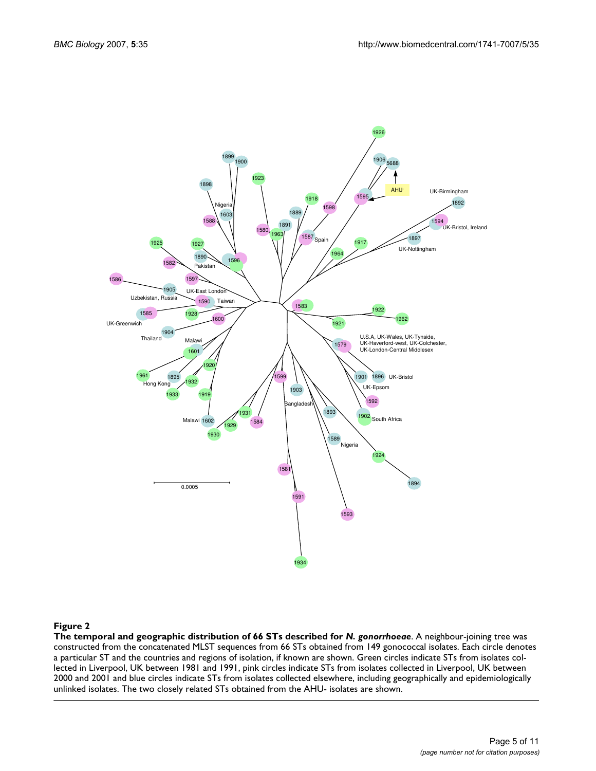

#### Figure 2

**The temporal and geographic distribution of 66 STs described for** *N. gonorrhoeae*. A neighbour-joining tree was constructed from the concatenated MLST sequences from 66 STs obtained from 149 gonococcal isolates. Each circle denotes a particular ST and the countries and regions of isolation, if known are shown. Green circles indicate STs from isolates collected in Liverpool, UK between 1981 and 1991, pink circles indicate STs from isolates collected in Liverpool, UK between 2000 and 2001 and blue circles indicate STs from isolates collected elsewhere, including geographically and epidemiologically unlinked isolates. The two closely related STs obtained from the AHU- isolates are shown.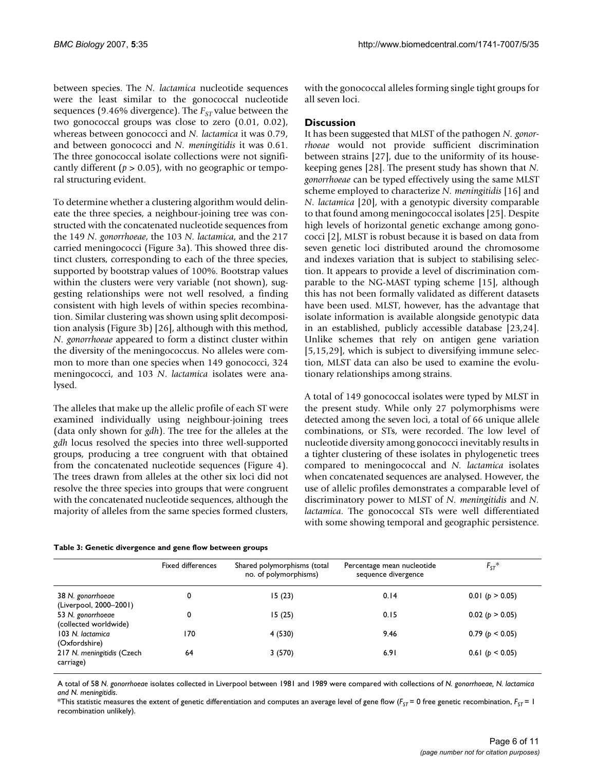between species. The *N. lactamica* nucleotide sequences were the least similar to the gonococcal nucleotide sequences (9.46% divergence). The *F<sub>ST</sub>* value between the two gonococcal groups was close to zero (0.01, 0.02), whereas between gonococci and *N. lactamica* it was 0.79, and between gonococci and *N. meningitidis* it was 0.61. The three gonococcal isolate collections were not significantly different ( $p > 0.05$ ), with no geographic or temporal structuring evident.

To determine whether a clustering algorithm would delineate the three species, a neighbour-joining tree was constructed with the concatenated nucleotide sequences from the 149 *N. gonorrhoeae*, the 103 *N. lactamica*, and the 217 carried meningococci (Figure 3a). This showed three distinct clusters, corresponding to each of the three species, supported by bootstrap values of 100%. Bootstrap values within the clusters were very variable (not shown), suggesting relationships were not well resolved, a finding consistent with high levels of within species recombination. Similar clustering was shown using split decomposition analysis (Figure 3b) [26], although with this method, *N. gonorrhoeae* appeared to form a distinct cluster within the diversity of the meningococcus. No alleles were common to more than one species when 149 gonococci, 324 meningococci, and 103 *N*. *lactamica* isolates were analysed.

The alleles that make up the allelic profile of each ST were examined individually using neighbour-joining trees (data only shown for *gdh*). The tree for the alleles at the *gdh* locus resolved the species into three well-supported groups, producing a tree congruent with that obtained from the concatenated nucleotide sequences (Figure 4). The trees drawn from alleles at the other six loci did not resolve the three species into groups that were congruent with the concatenated nucleotide sequences, although the majority of alleles from the same species formed clusters,

|  | Table 3: Genetic divergence and gene flow between groups |  |  |  |
|--|----------------------------------------------------------|--|--|--|
|  |                                                          |  |  |  |

with the gonococcal alleles forming single tight groups for all seven loci.

#### **Discussion**

It has been suggested that MLST of the pathogen *N. gonorrhoeae* would not provide sufficient discrimination between strains [27], due to the uniformity of its housekeeping genes [28]. The present study has shown that *N. gonorrhoeae* can be typed effectively using the same MLST scheme employed to characterize *N. meningitidis* [16] and *N. lactamica* [20], with a genotypic diversity comparable to that found among meningococcal isolates [25]. Despite high levels of horizontal genetic exchange among gonococci [[2](#page-9-0)], MLST is robust because it is based on data from seven genetic loci distributed around the chromosome and indexes variation that is subject to stabilising selection. It appears to provide a level of discrimination comparable to the NG-MAST typing scheme [15], although this has not been formally validated as different datasets have been used. MLST, however, has the advantage that isolate information is available alongside genotypic data in an established, publicly accessible database [23,24]. Unlike schemes that rely on antigen gene variation [5,15,29], which is subject to diversifying immune selection, MLST data can also be used to examine the evolutionary relationships among strains.

A total of 149 gonococcal isolates were typed by MLST in the present study. While only 27 polymorphisms were detected among the seven loci, a total of 66 unique allele combinations, or STs, were recorded. The low level of nucleotide diversity among gonococci inevitably results in a tighter clustering of these isolates in phylogenetic trees compared to meningococcal and *N. lactamica* isolates when concatenated sequences are analysed. However, the use of allelic profiles demonstrates a comparable level of discriminatory power to MLST of *N. meningitidis* and *N. lactamica*. The gonococcal STs were well differentiated with some showing temporal and geographic persistence.

|                                             | <b>Fixed differences</b> | Shared polymorphisms (total<br>no. of polymorphisms) | Percentage mean nucleotide<br>sequence divergence | $F_{ST}$ *            |
|---------------------------------------------|--------------------------|------------------------------------------------------|---------------------------------------------------|-----------------------|
| 38 N. gonorrhoeae<br>(Liverpool, 2000-2001) | 0                        | 15(23)                                               | 0.14                                              | 0.01 (b > 0.05)       |
| 53 N. gonorrhoeae<br>(collected worldwide)  | 0                        | 15(25)                                               | 0.15                                              | $0.02$ ( $b > 0.05$ ) |
| 103 N. lactamica<br>(Oxfordshire)           | 170                      | 4(530)                                               | 9.46                                              | $0.79$ ( $b < 0.05$ ) |
| 217 N. meningitidis (Czech<br>carriage)     | 64                       | 3(570)                                               | 6.91                                              | 0.61 ( $p < 0.05$ )   |

A total of 58 *N. gonorrhoeae* isolates collected in Liverpool between 1981 and 1989 were compared with collections of *N. gonorrhoeae, N. lactamica and N. meningitidis*.

\*This statistic measures the extent of genetic differentiation and computes an average level of gene flow ( $F_{ST}$  = 0 free genetic recombination,  $F_{ST}$  = 1 recombination unlikely).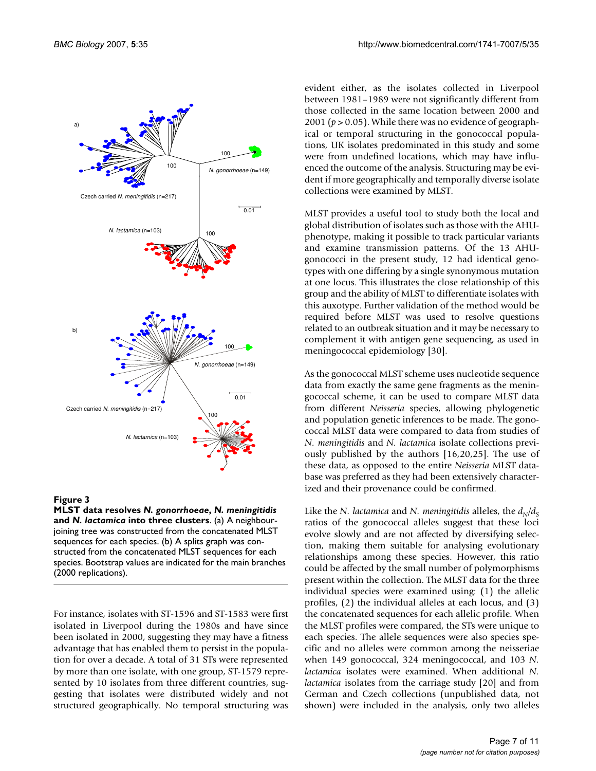

#### **Figure 3**

**MLST data resolves** *N. gonorrhoeae***,** *N. meningitidis*  **and** *N. lactamica* **into three clusters**. (a) A neighbourjoining tree was constructed from the concatenated MLST sequences for each species. (b) A splits graph was constructed from the concatenated MLST sequences for each species. Bootstrap values are indicated for the main branches (2000 replications).

For instance, isolates with ST-1596 and ST-1583 were first isolated in Liverpool during the 1980s and have since been isolated in 2000, suggesting they may have a fitness advantage that has enabled them to persist in the population for over a decade. A total of 31 STs were represented by more than one isolate, with one group, ST-1579 represented by 10 isolates from three different countries, suggesting that isolates were distributed widely and not structured geographically. No temporal structuring was evident either, as the isolates collected in Liverpool between 1981–1989 were not significantly different from those collected in the same location between 2000 and 2001 ( $p > 0.05$ ). While there was no evidence of geographical or temporal structuring in the gonococcal populations, UK isolates predominated in this study and some were from undefined locations, which may have influenced the outcome of the analysis. Structuring may be evident if more geographically and temporally diverse isolate collections were examined by MLST.

MLST provides a useful tool to study both the local and global distribution of isolates such as those with the AHUphenotype, making it possible to track particular variants and examine transmission patterns. Of the 13 AHUgonococci in the present study, 12 had identical genotypes with one differing by a single synonymous mutation at one locus. This illustrates the close relationship of this group and the ability of MLST to differentiate isolates with this auxotype. Further validation of the method would be required before MLST was used to resolve questions related to an outbreak situation and it may be necessary to complement it with antigen gene sequencing, as used in meningococcal epidemiology [30].

As the gonococcal MLST scheme uses nucleotide sequence data from exactly the same gene fragments as the meningococcal scheme, it can be used to compare MLST data from different *Neisseria* species, allowing phylogenetic and population genetic inferences to be made. The gonococcal MLST data were compared to data from studies of *N. meningitidis* and *N. lactamica* isolate collections previously published by the authors [16,20,25]. The use of these data, as opposed to the entire *Neisseria* MLST database was preferred as they had been extensively characterized and their provenance could be confirmed.

Like the *N. lactamica* and *N. meningitidis* alleles, the  $d_N/d_S$ ratios of the gonococcal alleles suggest that these loci evolve slowly and are not affected by diversifying selection, making them suitable for analysing evolutionary relationships among these species. However, this ratio could be affected by the small number of polymorphisms present within the collection. The MLST data for the three individual species were examined using: (1) the allelic profiles, (2) the individual alleles at each locus, and (3) the concatenated sequences for each allelic profile. When the MLST profiles were compared, the STs were unique to each species. The allele sequences were also species specific and no alleles were common among the neisseriae when 149 gonococcal, 324 meningococcal, and 103 *N. lactamica* isolates were examined. When additional *N. lactamica* isolates from the carriage study [20] and from German and Czech collections (unpublished data, not shown) were included in the analysis, only two alleles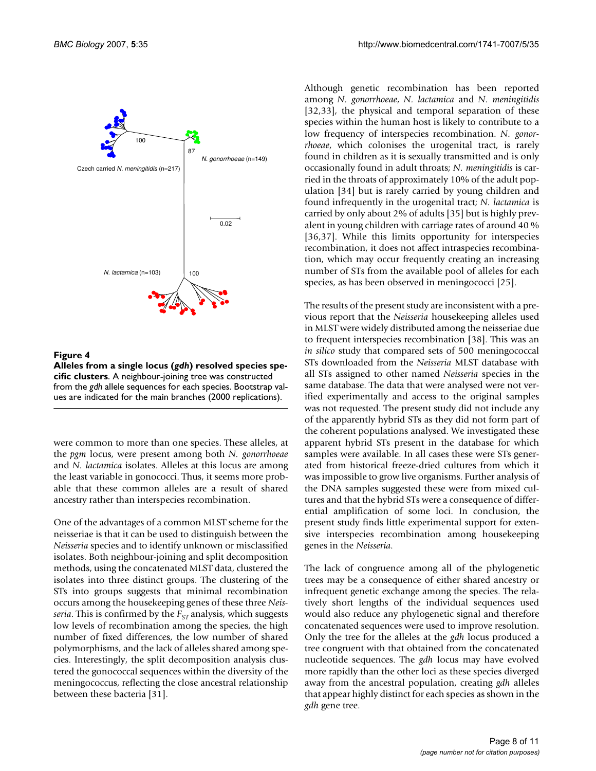

Figure 4

**Alleles from a single locus (***gdh***) resolved species specific clusters**. A neighbour-joining tree was constructed from the *gdh* allele sequences for each species. Bootstrap values are indicated for the main branches (2000 replications).

were common to more than one species. These alleles, at the *pgm* locus, were present among both *N. gonorrhoeae* and *N. lactamica* isolates. Alleles at this locus are among the least variable in gonococci. Thus, it seems more probable that these common alleles are a result of shared ancestry rather than interspecies recombination.

One of the advantages of a common MLST scheme for the neisseriae is that it can be used to distinguish between the *Neisseria* species and to identify unknown or misclassified isolates. Both neighbour-joining and split decomposition methods, using the concatenated MLST data, clustered the isolates into three distinct groups. The clustering of the STs into groups suggests that minimal recombination occurs among the housekeeping genes of these three *Neisseria*. This is confirmed by the *F<sub>ST</sub>* analysis, which suggests low levels of recombination among the species, the high number of fixed differences, the low number of shared polymorphisms, and the lack of alleles shared among species. Interestingly, the split decomposition analysis clustered the gonococcal sequences within the diversity of the meningococcus, reflecting the close ancestral relationship between these bacteria [31].

Although genetic recombination has been reported among *N. gonorrhoeae*, *N. lactamica* and *N. meningitidis* [32,33], the physical and temporal separation of these species within the human host is likely to contribute to a low frequency of interspecies recombination. *N. gonorrhoeae*, which colonises the urogenital tract, is rarely found in children as it is sexually transmitted and is only occasionally found in adult throats; *N. meningitidis* is carried in the throats of approximately 10% of the adult population [34] but is rarely carried by young children and found infrequently in the urogenital tract; *N. lactamica* is carried by only about 2% of adults [35] but is highly prevalent in young children with carriage rates of around 40 % [[36](#page-10-1),[37\]](#page-10-2). While this limits opportunity for interspecies recombination, it does not affect intraspecies recombination, which may occur frequently creating an increasing number of STs from the available pool of alleles for each species, as has been observed in meningococci [25].

The results of the present study are inconsistent with a previous report that the *Neisseria* housekeeping alleles used in MLST were widely distributed among the neisseriae due to frequent interspecies recombination [38]. This was an *in silico* study that compared sets of 500 meningococcal STs downloaded from the *Neisseria* MLST database with all STs assigned to other named *Neisseria* species in the same database. The data that were analysed were not verified experimentally and access to the original samples was not requested. The present study did not include any of the apparently hybrid STs as they did not form part of the coherent populations analysed. We investigated these apparent hybrid STs present in the database for which samples were available. In all cases these were STs generated from historical freeze-dried cultures from which it was impossible to grow live organisms. Further analysis of the DNA samples suggested these were from mixed cultures and that the hybrid STs were a consequence of differential amplification of some loci. In conclusion, the present study finds little experimental support for extensive interspecies recombination among housekeeping genes in the *Neisseria*.

The lack of congruence among all of the phylogenetic trees may be a consequence of either shared ancestry or infrequent genetic exchange among the species. The relatively short lengths of the individual sequences used would also reduce any phylogenetic signal and therefore concatenated sequences were used to improve resolution. Only the tree for the alleles at the *gdh* locus produced a tree congruent with that obtained from the concatenated nucleotide sequences. The *gdh* locus may have evolved more rapidly than the other loci as these species diverged away from the ancestral population, creating *gdh* alleles that appear highly distinct for each species as shown in the *gdh* gene tree.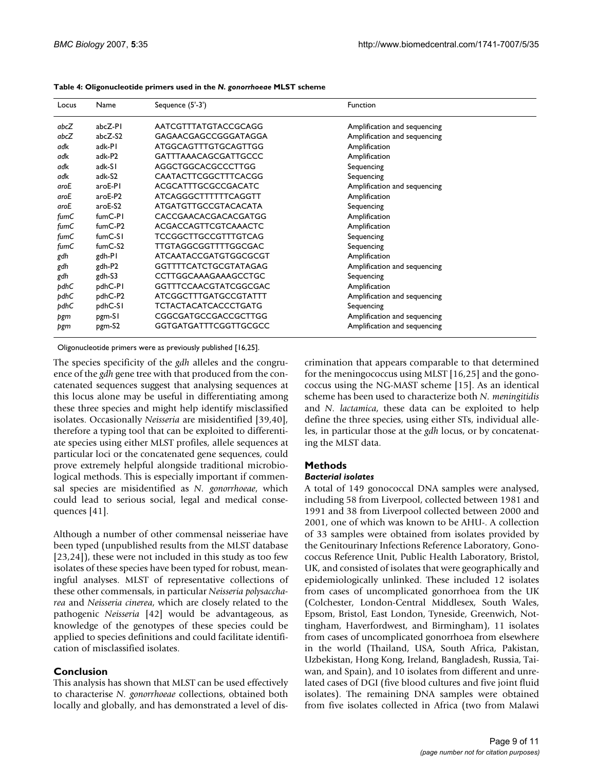| Locus | Name      | Sequence (5'-3')             | Function                     |  |
|-------|-----------|------------------------------|------------------------------|--|
| abcZ  | abcZ-PI   | AATCGTTTATGTACCGCAGG         | Amplification and sequencing |  |
| abcZ  | abcZ-S2   | GAGAACGAGCCGGGATAGGA         | Amplification and sequencing |  |
| adk   | adk-PI    | ATGGCAGTTTGTGCAGTTGG         | Amplification                |  |
| adk   | adk-P2    | <b>GATTTAAACAGCGATTGCCC</b>  | Amplification                |  |
| adk   | adk-SI    | AGGCTGGCACGCCCTTGG           | Sequencing                   |  |
| adk   | adk-S2    | <b>CAATACTTCGGCTTTCACGG</b>  | Sequencing                   |  |
| aroE  | aroE-PI   | ACGCATTTGCGCCGACATC          | Amplification and sequencing |  |
| aroE  | aroE-P2   | ATCAGGGCTTTTTTCAGGTT         | Amplification                |  |
| aroE  | aroE-S2   | <b>ATGATGTTGCCGTACACATA</b>  | Sequencing                   |  |
| fumC  | fumC-PI   | CACCGAACACGACACGATGG         | Amplification                |  |
| fumC  | fumC-P2   | <b>ACGACCAGTTCGTCAAACTC</b>  | Amplification                |  |
| fumC  | $fumC-S1$ | TCCGGCTTGCCGTTTGTCAG         | Sequencing                   |  |
| fumC  | $fumC-S2$ | TTGTAGGCGGTTTTGGCGAC         | Sequencing                   |  |
| gdh   | gdh-PI    | ATCAATACCGATGTGGCGCGT        | Amplification                |  |
| gdh   | gdh-P2    | <b>GGTTTTCATCTGCGTATAGAG</b> | Amplification and sequencing |  |
| gdh   | gdh-S3    | <b>CCTTGGCAAAGAAAGCCTGC</b>  | Sequencing                   |  |
| pdhC  | pdhC-PI   | <b>GGTTTCCAACGTATCGGCGAC</b> | Amplification                |  |
| pdhC  | pdhC-P2   | ATCGGCTTTGATGCCGTATTT        | Amplification and sequencing |  |
| pdhC  | pdhC-SI   | <b>TCTACTACATCACCCTGATG</b>  | Sequencing                   |  |
| pgm   | pgm-S1    | CGGCGATGCCGACCGCTTGG         | Amplification and sequencing |  |
| pgm   | pgm-S2    | <b>GGTGATGATTTCGGTTGCGCC</b> | Amplification and sequencing |  |

Oligonucleotide primers were as previously published [16,25].

The species specificity of the *gdh* alleles and the congruence of the *gdh* gene tree with that produced from the concatenated sequences suggest that analysing sequences at this locus alone may be useful in differentiating among these three species and might help identify misclassified isolates. Occasionally *Neisseria* are misidentified [[39,](#page-10-3)40], therefore a typing tool that can be exploited to differentiate species using either MLST profiles, allele sequences at particular loci or the concatenated gene sequences, could prove extremely helpful alongside traditional microbiological methods. This is especially important if commensal species are misidentified as *N. gonorrhoeae*, which could lead to serious social, legal and medical consequences [41].

Although a number of other commensal neisseriae have been typed (unpublished results from the MLST database [23,24]), these were not included in this study as too few isolates of these species have been typed for robust, meaningful analyses. MLST of representative collections of these other commensals, in particular *Neisseria polysaccharea* and *Neisseria cinerea*, which are closely related to the pathogenic *Neisseria* [[42\]](#page-10-4) would be advantageous, as knowledge of the genotypes of these species could be applied to species definitions and could facilitate identification of misclassified isolates.

# **Conclusion**

This analysis has shown that MLST can be used effectively to characterise *N. gonorrhoeae* collections, obtained both locally and globally, and has demonstrated a level of discrimination that appears comparable to that determined for the meningococcus using MLST [16,25] and the gonococcus using the NG-MAST scheme [15]. As an identical scheme has been used to characterize both *N. meningitidis* and *N. lactamica*, these data can be exploited to help define the three species, using either STs, individual alleles, in particular those at the *gdh* locus, or by concatenating the MLST data.

# **Methods**

#### *Bacterial isolates*

A total of 149 gonococcal DNA samples were analysed, including 58 from Liverpool, collected between 1981 and 1991 and 38 from Liverpool collected between 2000 and 2001, one of which was known to be AHU-. A collection of 33 samples were obtained from isolates provided by the Genitourinary Infections Reference Laboratory, Gonococcus Reference Unit, Public Health Laboratory, Bristol, UK, and consisted of isolates that were geographically and epidemiologically unlinked. These included 12 isolates from cases of uncomplicated gonorrhoea from the UK (Colchester, London-Central Middlesex, South Wales, Epsom, Bristol, East London, Tyneside, Greenwich, Nottingham, Haverfordwest, and Birmingham), 11 isolates from cases of uncomplicated gonorrhoea from elsewhere in the world (Thailand, USA, South Africa, Pakistan, Uzbekistan, Hong Kong, Ireland, Bangladesh, Russia, Taiwan, and Spain), and 10 isolates from different and unrelated cases of DGI (five blood cultures and five joint fluid isolates). The remaining DNA samples were obtained from five isolates collected in Africa (two from Malawi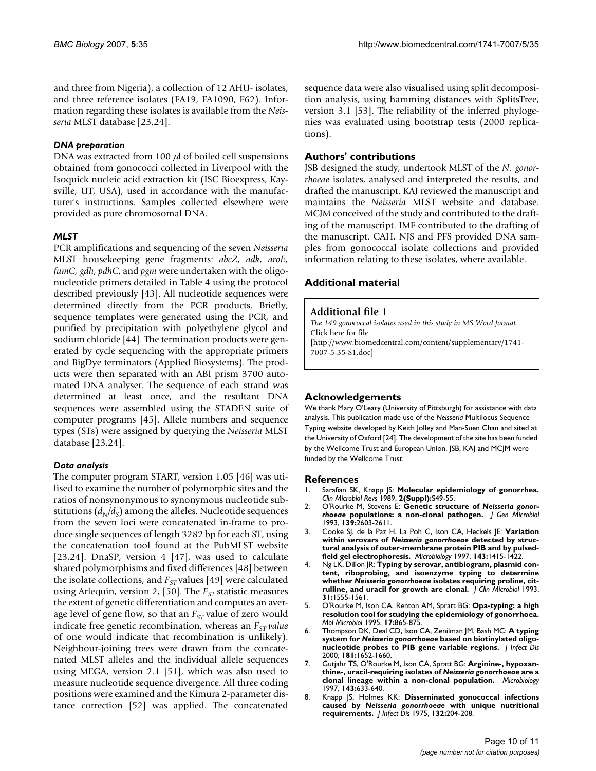and three from Nigeria), a collection of 12 AHU- isolates, and three reference isolates (FA19, FA1090, F62). Information regarding these isolates is available from the *Neisseria* MLST database [23,24].

#### *DNA preparation*

DNA was extracted from 100  $\mu$  of boiled cell suspensions obtained from gonococci collected in Liverpool with the Isoquick nucleic acid extraction kit (ISC Bioexpress, Kaysville, UT, USA), used in accordance with the manufacturer's instructions. Samples collected elsewhere were provided as pure chromosomal DNA.

# *MLST*

PCR amplifications and sequencing of the seven *Neisseria* MLST housekeeping gene fragments: *abcZ*, *adk*, *aroE, fumC, gdh*, *pdhC*, and *pgm* were undertaken with the oligonucleotide primers detailed in Table 4 using the protocol described previously [43]. All nucleotide sequences were determined directly from the PCR products. Briefly, sequence templates were generated using the PCR, and purified by precipitation with polyethylene glycol and sodium chloride [44]. The termination products were generated by cycle sequencing with the appropriate primers and BigDye terminators (Applied Biosystems). The products were then separated with an ABI prism 3700 automated DNA analyser. The sequence of each strand was determined at least once, and the resultant DNA sequences were assembled using the STADEN suite of computer programs [45]. Allele numbers and sequence types (STs) were assigned by querying the *Neisseria* MLST database [23,24].

# *Data analysis*

The computer program START, version 1.05 [46] was utilised to examine the number of polymorphic sites and the ratios of nonsynonymous to synonymous nucleotide substitutions  $(d_N/d_S)$  among the alleles. Nucleotide sequences from the seven loci were concatenated in-frame to produce single sequences of length 3282 bp for each ST, using the concatenation tool found at the PubMLST website [23,24]. DnaSP, version 4 [47], was used to calculate shared polymorphisms and fixed differences [48] between the isolate collections, and *F<sub>ST</sub>* values [49] were calculated using Arlequin, version 2, [50]. The  $F_{ST}$  statistic measures the extent of genetic differentiation and computes an average level of gene flow, so that an *F<sub>ST</sub>* value of zero would indicate free genetic recombination, whereas an *F<sub>ST</sub> value* of one would indicate that recombination is unlikely). Neighbour-joining trees were drawn from the concatenated MLST alleles and the individual allele sequences using MEGA, version 2.1 [51], which was also used to measure nucleotide sequence divergence. All three coding positions were examined and the Kimura 2-parameter distance correction [52] was applied. The concatenated

sequence data were also visualised using split decomposition analysis, using hamming distances with SplitsTree, version 3.1 [53]. The reliability of the inferred phylogenies was evaluated using bootstrap tests (2000 replications).

# **Authors' contributions**

JSB designed the study, undertook MLST of the *N. gonorrhoeae* isolates, analysed and interpreted the results, and drafted the manuscript. KAJ reviewed the manuscript and maintains the *Neisseria* MLST website and database. MCJM conceived of the study and contributed to the drafting of the manuscript. IMF contributed to the drafting of the manuscript. CAH, NJS and PFS provided DNA samples from gonococcal isolate collections and provided information relating to these isolates, where available.

#### **Additional material**

#### **Additional file 1**

*The 149 gonococcal isolates used in this study in MS Word format* Click here for file

[\[http://www.biomedcentral.com/content/supplementary/1741-](http://www.biomedcentral.com/content/supplementary/1741-7007-5-35-S1.doc) 7007-5-35-S1.doc]

# **Acknowledgements**

We thank Mary O'Leary (University of Pittsburgh) for assistance with data analysis. This publication made use of the *Neisseria* Multilocus Sequence Typing website developed by Keith Jolley and Man-Suen Chan and sited at the University of Oxford [24]. The development of the site has been funded by the Wellcome Trust and European Union. JSB, KAJ and MCJM were funded by the Wellcome Trust.

#### **References**

- 1. Sarafian SK, Knapp JS: **Molecular epidemiology of gonorrhea.** *Clin Microbiol Revs* 1989, **2(Suppl):**S49-55.
- <span id="page-9-0"></span>2. O'Rourke M, Stevens E: **Genetic structure of** *Neisseria gonorrhoeae* **[populations: a non-clonal pathogen.](http://www.ncbi.nlm.nih.gov/entrez/query.fcgi?cmd=Retrieve&db=PubMed&dopt=Abstract&list_uids=8277244)** *J Gen Microbiol* 1993, **139:**2603-2611.
- 3. Cooke SJ, de la Paz H, La Poh C, Ison CA, Heckels JE: **Variation within serovars of** *Neisseria gonorrhoeae* **[detected by struc](http://www.ncbi.nlm.nih.gov/entrez/query.fcgi?cmd=Retrieve&db=PubMed&dopt=Abstract&list_uids=9141704)[tural analysis of outer-membrane protein PIB and by pulsed](http://www.ncbi.nlm.nih.gov/entrez/query.fcgi?cmd=Retrieve&db=PubMed&dopt=Abstract&list_uids=9141704)[field gel electrophoresis.](http://www.ncbi.nlm.nih.gov/entrez/query.fcgi?cmd=Retrieve&db=PubMed&dopt=Abstract&list_uids=9141704)** *Microbiology* 1997, **143:**1415-1422.
- Ng LK, Dillon JR: Typing by serovar, antibiogram, plasmid con**tent, riboprobing, and isoenzyme typing to determine whether** *Neisseria gonorrhoeae* **[isolates requiring proline, cit](http://www.ncbi.nlm.nih.gov/entrez/query.fcgi?cmd=Retrieve&db=PubMed&dopt=Abstract&list_uids=8100243)[rulline, and uracil for growth are clonal.](http://www.ncbi.nlm.nih.gov/entrez/query.fcgi?cmd=Retrieve&db=PubMed&dopt=Abstract&list_uids=8100243)** *J Clin Microbiol* 1993, **31:**1555-1561.
- 5. O'Rourke M, Ison CA, Renton AM, Spratt BG: **[Opa-typing: a high](http://www.ncbi.nlm.nih.gov/entrez/query.fcgi?cmd=Retrieve&db=PubMed&dopt=Abstract&list_uids=8596436) [resolution tool for studying the epidemiology of gonorrhoea.](http://www.ncbi.nlm.nih.gov/entrez/query.fcgi?cmd=Retrieve&db=PubMed&dopt=Abstract&list_uids=8596436)** *Mol Microbiol* 1995, **17:**865-875.
- <span id="page-9-1"></span>6. Thompson DK, Deal CD, Ison CA, Zenilman JM, Bash MC: **A typing system for** *Neisseria gonorrhoeae* **[based on biotinylated oligo](http://www.ncbi.nlm.nih.gov/entrez/query.fcgi?cmd=Retrieve&db=PubMed&dopt=Abstract&list_uids=10823765)[nucleotide probes to PIB gene variable regions.](http://www.ncbi.nlm.nih.gov/entrez/query.fcgi?cmd=Retrieve&db=PubMed&dopt=Abstract&list_uids=10823765)** *J Infect Dis* 2000, **181:**1652-1660.
- <span id="page-9-2"></span>7. Gutjahr TS, O'Rourke M, Ison CA, Spratt BG: **Arginine-, hypoxanthine-, uracil-requiring isolates of** *Neisseria gonorrhoeae* **[are a](http://www.ncbi.nlm.nih.gov/entrez/query.fcgi?cmd=Retrieve&db=PubMed&dopt=Abstract&list_uids=9043139) [clonal lineage within a non-clonal population.](http://www.ncbi.nlm.nih.gov/entrez/query.fcgi?cmd=Retrieve&db=PubMed&dopt=Abstract&list_uids=9043139)** *Microbiology* 1997, **143:**633-640.
- <span id="page-9-3"></span>8. Knapp JS, Holmes KK: **Disseminated gonococcal infections caused by** *Neisseria gonorrhoeae* **[with unique nutritional](http://www.ncbi.nlm.nih.gov/entrez/query.fcgi?cmd=Retrieve&db=PubMed&dopt=Abstract&list_uids=125773) [requirements.](http://www.ncbi.nlm.nih.gov/entrez/query.fcgi?cmd=Retrieve&db=PubMed&dopt=Abstract&list_uids=125773)** *J Infect Dis* 1975, **132:**204-208.